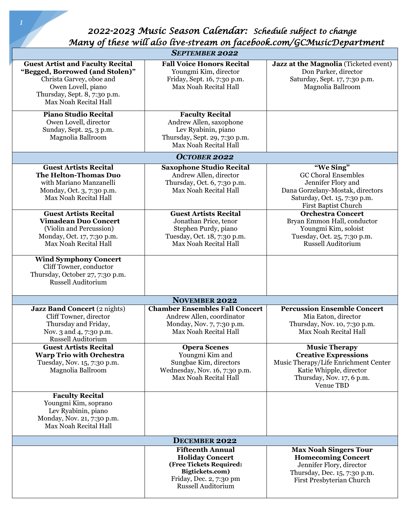*2022-2023 Music Season Calendar: Schedule subject to change Many of these will also live-stream on facebook.com/GCMusicDepartment* 

| <b>SEPTEMBER 2022</b>                                                                                                                                                                 |                                                                                                                                                         |                                                                                                                                                                         |  |
|---------------------------------------------------------------------------------------------------------------------------------------------------------------------------------------|---------------------------------------------------------------------------------------------------------------------------------------------------------|-------------------------------------------------------------------------------------------------------------------------------------------------------------------------|--|
| <b>Guest Artist and Faculty Recital</b><br>"Begged, Borrowed (and Stolen)"<br>Christa Garvey, oboe and<br>Owen Lovell, piano<br>Thursday, Sept. 8, 7:30 p.m.<br>Max Noah Recital Hall | <b>Fall Voice Honors Recital</b><br>Youngmi Kim, director<br>Friday, Sept. 16, 7:30 p.m.<br>Max Noah Recital Hall                                       | Jazz at the Magnolia (Ticketed event)<br>Don Parker, director<br>Saturday, Sept. 17, 7:30 p.m.<br>Magnolia Ballroom                                                     |  |
| <b>Piano Studio Recital</b><br>Owen Lovell, director<br>Sunday, Sept. 25, 3 p.m.<br>Magnolia Ballroom                                                                                 | <b>Faculty Recital</b><br>Andrew Allen, saxophone<br>Lev Ryabinin, piano<br>Thursday, Sept. 29, 7:30 p.m.<br>Max Noah Recital Hall                      |                                                                                                                                                                         |  |
| <b>OCTOBER 2022</b>                                                                                                                                                                   |                                                                                                                                                         |                                                                                                                                                                         |  |
| <b>Guest Artists Recital</b><br>The Helton-Thomas Duo<br>with Mariano Manzanelli<br>Monday, Oct. 3, 7:30 p.m.<br>Max Noah Recital Hall                                                | <b>Saxophone Studio Recital</b><br>Andrew Allen, director<br>Thursday, Oct. 6, 7:30 p.m.<br>Max Noah Recital Hall                                       | "We Sing"<br><b>GC Choral Ensembles</b><br>Jennifer Flory and<br>Dana Gorzelany-Mostak, directors<br>Saturday, Oct. 15, 7:30 p.m.<br>First Baptist Church               |  |
| <b>Guest Artists Recital</b><br><b>Vimadean Duo Concert</b><br>(Violin and Percussion)<br>Monday, Oct. 17, 7:30 p.m.<br>Max Noah Recital Hall                                         | <b>Guest Artists Recital</b><br>Jonathan Price, tenor<br>Stephen Purdy, piano<br>Tuesday, Oct. 18, 7:30 p.m.<br>Max Noah Recital Hall                   | <b>Orchestra Concert</b><br>Bryan Emmon Hall, conductor<br>Youngmi Kim, soloist<br>Tuesday, Oct. 25, 7:30 p.m.<br>Russell Auditorium                                    |  |
| <b>Wind Symphony Concert</b><br>Cliff Towner, conductor<br>Thursday, October 27, 7:30 p.m.<br><b>Russell Auditorium</b>                                                               |                                                                                                                                                         |                                                                                                                                                                         |  |
| <b>NOVEMBER 2022</b>                                                                                                                                                                  |                                                                                                                                                         |                                                                                                                                                                         |  |
| <b>Jazz Band Concert</b> (2 nights)<br>Cliff Towner, director<br>Thursday and Friday,<br>Nov. 3 and 4, 7:30 p.m.<br><b>Russell Auditorium</b>                                         | <b>Chamber Ensembles Fall Concert</b><br>Andrew Allen, coordinator<br>Monday, Nov. 7, 7:30 p.m.<br>Max Noah Recital Hall                                | <b>Percussion Ensemble Concert</b><br>Mia Eaton, director<br>Thursday, Nov. 10, 7:30 p.m.<br>Max Noah Recital Hall                                                      |  |
| <b>Guest Artists Recital</b><br><b>Warp Trio with Orchestra</b><br>Tuesday, Nov. 15, 7:30 p.m.<br>Magnolia Ballroom                                                                   | <b>Opera Scenes</b><br>Youngmi Kim and<br>Sungbae Kim, directors<br>Wednesday, Nov. 16, 7:30 p.m.<br>Max Noah Recital Hall                              | <b>Music Therapy</b><br><b>Creative Expressions</b><br>Music Therapy/Life Enrichment Center<br>Katie Whipple, director<br>Thursday, Nov. 17, 6 p.m.<br><b>Venue TBD</b> |  |
| <b>Faculty Recital</b><br>Youngmi Kim, soprano<br>Lev Ryabinin, piano<br>Monday, Nov. 21, 7:30 p.m.<br>Max Noah Recital Hall                                                          |                                                                                                                                                         |                                                                                                                                                                         |  |
| <b>DECEMBER 2022</b>                                                                                                                                                                  |                                                                                                                                                         |                                                                                                                                                                         |  |
|                                                                                                                                                                                       | <b>Fifteenth Annual</b><br><b>Holiday Concert</b><br>(Free Tickets Required:<br>Bigtickets.com)<br>Friday, Dec. 2, 7:30 pm<br><b>Russell Auditorium</b> | <b>Max Noah Singers Tour</b><br><b>Homecoming Concert</b><br>Jennifer Flory, director<br>Thursday, Dec. 15, 7:30 p.m.<br>First Presbyterian Church                      |  |